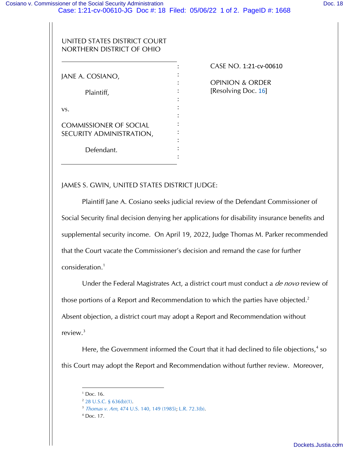## UNITED STATES DISTRICT COURT NORTHERN DISTRICT OF OHIO

| JANE A. COSIANO,              |  |
|-------------------------------|--|
|                               |  |
| Plaintiff,                    |  |
|                               |  |
| VS.                           |  |
|                               |  |
| <b>COMMISSIONER OF SOCIAL</b> |  |
| SECURITY ADMINISTRATION,      |  |
|                               |  |
| Defendant.                    |  |
|                               |  |

CASE NO. 1:21‐cv‐00610

OPINION & ORDER [Resolving Doc. 16]

JAMES S. GWIN, UNITED STATES DISTRICT JUDGE:

Plaintiff Jane A. Cosiano seeks judicial review of the Defendant Commissioner of Social Security final decision denying her applications for disability insurance benefits and supplemental security income. On April 19, 2022, Judge Thomas M. Parker recommended that the Court vacate the Commissioner's decision and remand the case for further consideration.<sup>1</sup>

Under the Federal Magistrates Act, a district court must conduct a de novo review of those portions of a Report and Recommendation to which the parties have objected.<sup>2</sup> Absent objection, a district court may adopt a Report and Recommendation without review. $3$ 

Here, the Government informed the Court that it had declined to file objections,<sup>4</sup> so this Court may adopt the Report and Recommendation without further review. Moreover,

 $1^1$  Doc. 16.

 $2$  28 U.S.C. § 636(b)(1).

<sup>3</sup> Thomas v. Arn, 474 U.S. 140, 149 (1985); L.R. 72.3(b).

<sup>4</sup> Doc. 17.